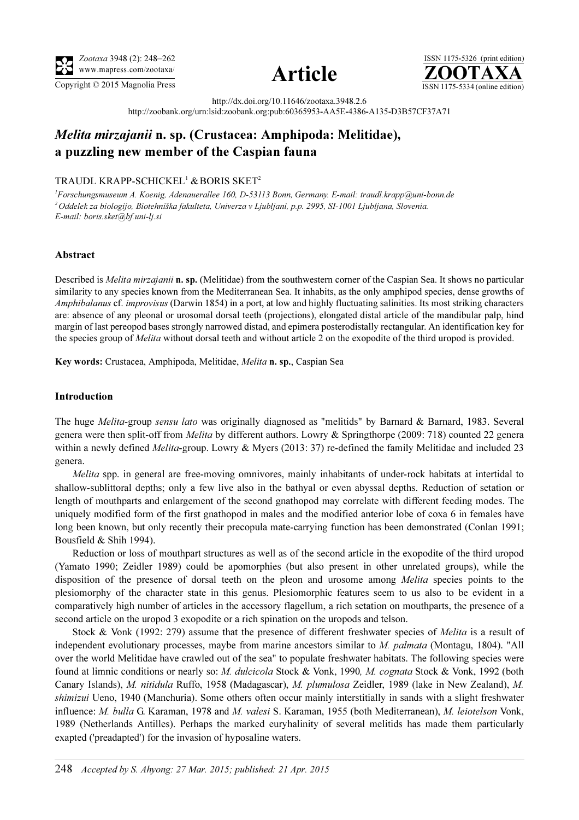





http://dx.doi.org/10.11646/zootaxa.3948.2.6 http://zoobank.org/urn:lsid:zoobank.org:pub:60365953-AA5E-4386-A135-D3B57CF37A71

# Melita mirzajanii n. sp. (Crustacea: Amphipoda: Melitidae), a puzzling new member of the Caspian fauna

## TRAUDL KRAPP-SCHICKEL<sup>1</sup> & BORIS SKET<sup>2</sup>

<sup>1</sup>Forschungsmuseum A. Koenig, Adenauerallee 160, D-53113 Bonn, Germany. E-mail: traudl.krapp@uni-bonn.de <sup>2</sup> Oddelek za biologijo, Biotehniška fakulteta, Univerza v Ljubljani, p.p. 2995, SI-1001 Ljubljana, Slovenia. E-mail: boris.sket@bf.uni-lj.si

#### Abstract

Described is *Melita mirzajanii* n. sp. (Melitidae) from the southwestern corner of the Caspian Sea. It shows no particular similarity to any species known from the Mediterranean Sea. It inhabits, as the only amphipod species, dense growths of Amphibalanus cf. improvisus (Darwin 1854) in a port, at low and highly fluctuating salinities. Its most striking characters are: absence of any pleonal or urosomal dorsal teeth (projections), elongated distal article of the mandibular palp, hind margin of last pereopod bases strongly narrowed distad, and epimera posterodistally rectangular. An identification key for the species group of *Melita* without dorsal teeth and without article 2 on the exopodite of the third uropod is provided.

Key words: Crustacea, Amphipoda, Melitidae, Melita n. sp., Caspian Sea

#### Introduction

The huge *Melita-group sensu lato* was originally diagnosed as "melitids" by Barnard & Barnard, 1983. Several genera were then split-off from Melita by different authors. Lowry & Springthorpe (2009: 718) counted 22 genera within a newly defined *Melita*-group. Lowry & Myers (2013: 37) re-defined the family Melitidae and included 23 genera.

Melita spp. in general are free-moving omnivores, mainly inhabitants of under-rock habitats at intertidal to shallow-sublittoral depths; only a few live also in the bathyal or even abyssal depths. Reduction of setation or length of mouthparts and enlargement of the second gnathopod may correlate with different feeding modes. The uniquely modified form of the first gnathopod in males and the modified anterior lobe of coxa 6 in females have long been known, but only recently their precopula mate-carrying function has been demonstrated (Conlan 1991; Bousfield & Shih 1994).

Reduction or loss of mouthpart structures as well as of the second article in the exopodite of the third uropod (Yamato 1990; Zeidler 1989) could be apomorphies (but also present in other unrelated groups), while the disposition of the presence of dorsal teeth on the pleon and urosome among *Melita* species points to the plesiomorphy of the character state in this genus. Plesiomorphic features seem to us also to be evident in a comparatively high number of articles in the accessory flagellum, a rich setation on mouthparts, the presence of a second article on the uropod 3 exopodite or a rich spination on the uropods and telson.

Stock & Vonk (1992: 279) assume that the presence of different freshwater species of *Melita* is a result of independent evolutionary processes, maybe from marine ancestors similar to *M. palmata* (Montagu, 1804). "All over the world Melitidae have crawled out of the sea" to populate freshwater habitats. The following species were found at limnic conditions or nearly so: M. dulcicola Stock & Vonk, 1990, M. cognata Stock & Vonk, 1992 (both Canary Islands), M. nitidula Ruffo, 1958 (Madagascar), M. plumulosa Zeidler, 1989 (lake in New Zealand), M. shimizui Ueno, 1940 (Manchuria). Some others often occur mainly interstitially in sands with a slight freshwater influence: M. bulla G. Karaman, 1978 and M. valesi S. Karaman, 1955 (both Mediterranean), M. leiotelson Vonk, 1989 (Netherlands Antilles). Perhaps the marked euryhalinity of several melitids has made them particularly exapted ('preadapted') for the invasion of hyposaline waters.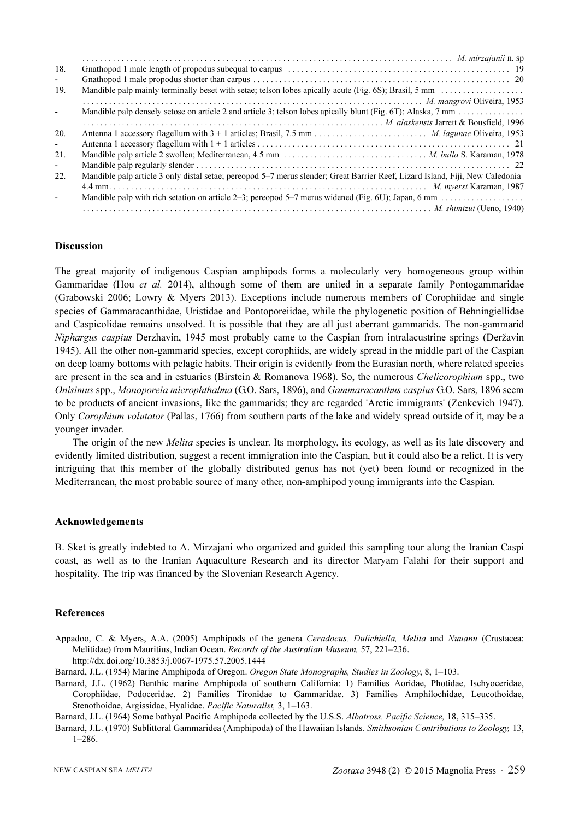| 18.            |                                                                                                                               |
|----------------|-------------------------------------------------------------------------------------------------------------------------------|
| $\sim$         |                                                                                                                               |
| 19.            |                                                                                                                               |
|                |                                                                                                                               |
| ٠              |                                                                                                                               |
|                |                                                                                                                               |
| 20.            |                                                                                                                               |
| $\sim$         |                                                                                                                               |
| 21.            |                                                                                                                               |
| $\sim$         |                                                                                                                               |
| 22.            | Mandible palp article 3 only distal setae; pereopod 5-7 merus slender; Great Barrier Reef, Lizard Island, Fiji, New Caledonia |
|                |                                                                                                                               |
| $\blacksquare$ |                                                                                                                               |
|                | M. shimizui (Ueno, 1940)                                                                                                      |

#### Discussion

The great majority of indigenous Caspian amphipods forms a molecularly very homogeneous group within Gammaridae (Hou et al. 2014), although some of them are united in a separate family Pontogammaridae (Grabowski 2006; Lowry & Myers 2013). Exceptions include numerous members of Corophiidae and single species of Gammaracanthidae, Uristidae and Pontoporeiidae, while the phylogenetic position of Behningiellidae and Caspicolidae remains unsolved. It is possible that they are all just aberrant gammarids. The non-gammarid Niphargus caspius Derzhavin, 1945 most probably came to the Caspian from intralacustrine springs (Deržavin 1945). All the other non-gammarid species, except corophiids, are widely spread in the middle part of the Caspian on deep loamy bottoms with pelagic habits. Their origin is evidently from the Eurasian north, where related species are present in the sea and in estuaries (Birstein & Romanova 1968). So, the numerous Chelicorophium spp., two Onisimus spp., Monoporeia microphthalma (G.O. Sars, 1896), and Gammaracanthus caspius G.O. Sars, 1896 seem to be products of ancient invasions, like the gammarids; they are regarded 'Arctic immigrants' (Zenkevich 1947). Only Corophium volutator (Pallas, 1766) from southern parts of the lake and widely spread outside of it, may be a younger invader.

The origin of the new *Melita* species is unclear. Its morphology, its ecology, as well as its late discovery and evidently limited distribution, suggest a recent immigration into the Caspian, but it could also be a relict. It is very intriguing that this member of the globally distributed genus has not (yet) been found or recognized in the Mediterranean, the most probable source of many other, non-amphipod young immigrants into the Caspian.

### Acknowledgements

B. Sket is greatly indebted to A. Mirzajani who organized and guided this sampling tour along the Iranian Caspi coast, as well as to the Iranian Aquaculture Research and its director Maryam Falahi for their support and hospitality. The trip was financed by the Slovenian Research Agency.

#### References

- Appadoo, C. & Myers, A.A. (2005) Amphipods of the genera Ceradocus, Dulichiella, Melita and Nuuanu (Crustacea: Melitidae) from Mauritius, Indian Ocean. Records of the Australian Museum, 57, 221–236. http://dx.doi.org/10.3853/j.0067-1975.57.2005.1444
- Barnard, J.L. (1954) Marine Amphipoda of Oregon. Oregon State Monographs, Studies in Zoology, 8, 1–103.
- Barnard, J.L. (1962) Benthic marine Amphipoda of southern California: 1) Families Aoridae, Photidae, Ischyoceridae, Corophiidae, Podoceridae. 2) Families Tironidae to Gammaridae. 3) Families Amphilochidae, Leucothoidae, Stenothoidae, Argissidae, Hyalidae. Pacific Naturalist, 3, 1–163.

Barnard, J.L. (1964) Some bathyal Pacific Amphipoda collected by the U.S.S. Albatross. Pacific Science, 18, 315–335.

Barnard, J.L. (1970) Sublittoral Gammaridea (Amphipoda) of the Hawaiian Islands. Smithsonian Contributions to Zoology, 13, 1–286.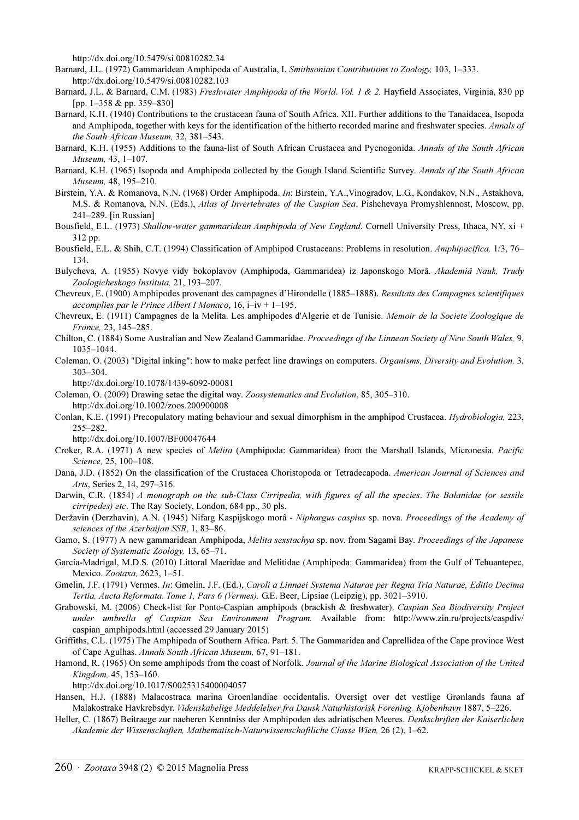http://dx.doi.org/10.5479/si.00810282.34

Barnard, J.L. (1972) Gammaridean Amphipoda of Australia, I. Smithsonian Contributions to Zoology, 103, 1–333. http://dx.doi.org/10.5479/si.00810282.103

- Barnard, J.L. & Barnard, C.M. (1983) Freshwater Amphipoda of the World. Vol. 1 & 2. Hayfield Associates, Virginia, 830 pp [pp. 1–358 & pp. 359–830]
- Barnard, K.H. (1940) Contributions to the crustacean fauna of South Africa. XII. Further additions to the Tanaidacea, Isopoda and Amphipoda, together with keys for the identification of the hitherto recorded marine and freshwater species. Annals of the South African Museum, 32, 381–543.
- Barnard, K.H. (1955) Additions to the fauna-list of South African Crustacea and Pycnogonida. Annals of the South African Museum, 43, 1–107.
- Barnard, K.H. (1965) Isopoda and Amphipoda collected by the Gough Island Scientific Survey. Annals of the South African Museum, 48, 195–210.
- Birstein, Y.A. & Romanova, N.N. (1968) Order Amphipoda. In: Birstein, Y.A.,Vinogradov, L.G., Kondakov, N.N., Astakhova, M.S. & Romanova, N.N. (Eds.), Atlas of Invertebrates of the Caspian Sea. Pishchevaya Promyshlennost, Moscow, pp. 241–289. [in Russian]
- Bousfield, E.L. (1973) Shallow-water gammaridean Amphipoda of New England. Cornell University Press, Ithaca, NY, xi + 312 pp.
- Bousfield, E.L. & Shih, C.T. (1994) Classification of Amphipod Crustaceans: Problems in resolution. Amphipacifica, 1/3, 76– 134.
- Bulycheva, A. (1955) Novye vidy bokoplavov (Amphipoda, Gammaridea) iz Japonskogo Morâ. Akademiâ Nauk, Trudy Zoologicheskogo Instituta, 21, 193–207.
- Chevreux, E. (1900) Amphipodes provenant des campagnes d'Hirondelle (1885–1888). Resultats des Campagnes scientifiques accomplies par le Prince Albert I Monaco, 16, i–iv + 1–195.
- Chevreux, E. (1911) Campagnes de la Melita. Les amphipodes d'Algerie et de Tunisie. Memoir de la Societe Zoologique de France, 23, 145–285.
- Chilton, C. (1884) Some Australian and New Zealand Gammaridae. Proceedings of the Linnean Society of New South Wales, 9, 1035–1044.
- Coleman, O. (2003) "Digital inking": how to make perfect line drawings on computers. Organisms, Diversity and Evolution, 3, 303–304.

http://dx.doi.org/10.1078/1439-6092-00081

Coleman, O. (2009) Drawing setae the digital way. Zoosystematics and Evolution, 85, 305–310.

http://dx.doi.org/10.1002/zoos.200900008

Conlan, K.E. (1991) Precopulatory mating behaviour and sexual dimorphism in the amphipod Crustacea. Hydrobiologia, 223, 255–282.

http://dx.doi.org/10.1007/BF00047644

- Croker, R.A. (1971) A new species of Melita (Amphipoda: Gammaridea) from the Marshall Islands, Micronesia. Pacific Science, 25, 100–108.
- Dana, J.D. (1852) On the classification of the Crustacea Choristopoda or Tetradecapoda. American Journal of Sciences and Arts, Series 2, 14, 297–316.
- Darwin, C.R. (1854) A monograph on the sub-Class Cirripedia, with figures of all the species. The Balanidae (or sessile cirripedes) etc. The Ray Society, London, 684 pp., 30 pls.

Deržavin (Derzhavin), A.N. (1945) Nifarg Kaspijskogo morâ - Niphargus caspius sp. nova. Proceedings of the Academy of sciences of the Azerbaijan SSR, 1, 83–86.

- Gamo, S. (1977) A new gammaridean Amphipoda, Melita sexstachya sp. nov. from Sagami Bay. Proceedings of the Japanese Society of Systematic Zoology, 13, 65–71.
- García-Madrigal, M.D.S. (2010) Littoral Maeridae and Melitidae (Amphipoda: Gammaridea) from the Gulf of Tehuantepec, Mexico. Zootaxa, 2623, 1–51.
- Gmelin, J.F. (1791) Vermes. In: Gmelin, J.F. (Ed.), Caroli a Linnaei Systema Naturae per Regna Tria Naturae, Editio Decima Tertia, Aucta Reformata. Tome 1, Pars 6 (Vermes). G.E. Beer, Lipsiae (Leipzig), pp. 3021–3910.
- Grabowski, M. (2006) Check-list for Ponto-Caspian amphipods (brackish & freshwater). Caspian Sea Biodiversity Project under umbrella of Caspian Sea Environment Program. Available from: http://www.zin.ru/projects/caspdiv/ caspian\_amphipods.html (accessed 29 January 2015)
- Griffiths, C.L. (1975) The Amphipoda of Southern Africa. Part. 5. The Gammaridea and Caprellidea of the Cape province West of Cape Agulhas. Annals South African Museum, 67, 91–181.
- Hamond, R. (1965) On some amphipods from the coast of Norfolk. Journal of the Marine Biological Association of the United Kingdom, 45, 153–160.

http://dx.doi.org/10.1017/S0025315400004057

- Hansen, H.J. (1888) Malacostraca marina Groenlandiae occidentalis. Oversigt over det vestlige Grønlands fauna af Malakostrake Havkrebsdyr. Videnskabelige Meddelelser fra Dansk Naturhistorisk Forening. Kjobenhavn 1887, 5–226.
- Heller, C. (1867) Beitraege zur naeheren Kenntniss der Amphipoden des adriatischen Meeres. Denkschriften der Kaiserlichen Akademie der Wissenschaften, Mathematisch-Naturwissenschaftliche Classe Wien, 26 (2), 1–62.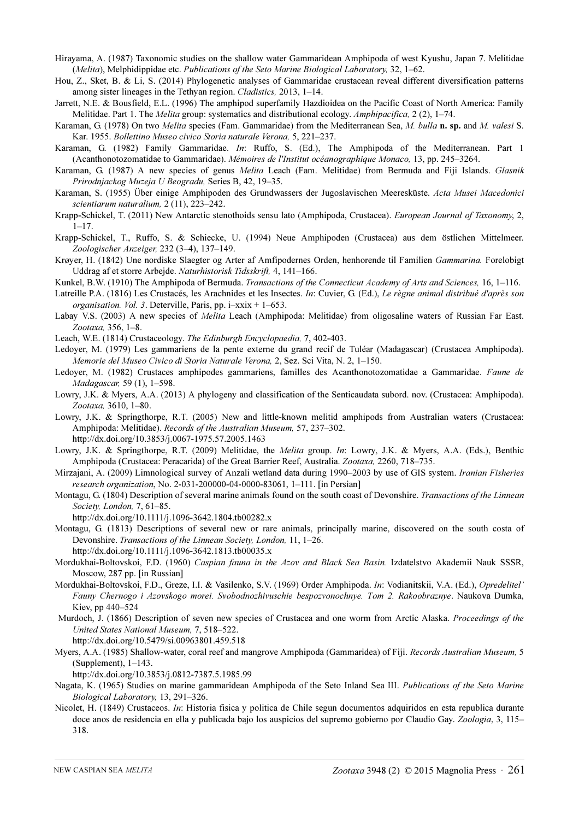- Hirayama, A. (1987) Taxonomic studies on the shallow water Gammaridean Amphipoda of west Kyushu, Japan 7. Melitidae (Melita), Melphidippidae etc. Publications of the Seto Marine Biological Laboratory, 32, 1–62.
- Hou, Z., Sket, B. & Li, S. (2014) Phylogenetic analyses of Gammaridae crustacean reveal different diversification patterns among sister lineages in the Tethyan region. Cladistics, 2013, 1–14.
- Jarrett, N.E. & Bousfield, E.L. (1996) The amphipod superfamily Hazdioidea on the Pacific Coast of North America: Family Melitidae. Part 1. The *Melita* group: systematics and distributional ecology. Amphipacifica, 2(2), 1–74.
- Karaman, G. (1978) On two *Melita* species (Fam. Gammaridae) from the Mediterranean Sea, M. bulla **n. sp.** and M. valesi S. Kar. 1955. Bollettino Museo civico Storia naturale Verona, 5, 221–237.
- Karaman, G. (1982) Family Gammaridae. In: Ruffo, S. (Ed.), The Amphipoda of the Mediterranean. Part 1 (Acanthonotozomatidae to Gammaridae). Mémoires de l'Institut océanographique Monaco, 13, pp. 245–3264.
- Karaman, G. (1987) A new species of genus Melita Leach (Fam. Melitidae) from Bermuda and Fiji Islands. Glasnik Prirodnjackog Muzeja U Beogradu, Series B, 42, 19–35.
- Karaman, S. (1955) Über einige Amphipoden des Grundwassers der Jugoslavischen Meeresküste. Acta Musei Macedonici scientiarum naturalium, 2 (11), 223–242.
- Krapp-Schickel, T. (2011) New Antarctic stenothoids sensu lato (Amphipoda, Crustacea). *European Journal of Taxonomy*, 2, 1–17.
- Krapp-Schickel, T., Ruffo, S. & Schiecke, U. (1994) Neue Amphipoden (Crustacea) aus dem östlichen Mittelmeer. Zoologischer Anzeiger, 232 (3–4), 137–149.
- Krøyer, H. (1842) Une nordiske Slaegter og Arter af Amfipodernes Orden, henhorende til Familien Gammarina. Forelobigt Uddrag af et storre Arbejde. Naturhistorisk Tidsskrift, 4, 141–166.
- Kunkel, B.W. (1910) The Amphipoda of Bermuda. Transactions of the Connecticut Academy of Arts and Sciences, 16, 1–116.
- Latreille P.A. (1816) Les Crustacés, les Arachnides et les Insectes. In: Cuvier, G. (Ed.), Le règne animal distribué d'après son organisation. Vol. 3. Deterville, Paris, pp.  $i-xxix + 1-653$ .
- Labay V.S. (2003) A new species of *Melita* Leach (Amphipoda: Melitidae) from oligosaline waters of Russian Far East. Zootaxa, 356, 1–8.
- Leach, W.E. (1814) Crustaceology. The Edinburgh Encyclopaedia, 7, 402-403.
- Ledoyer, M. (1979) Les gammariens de la pente externe du grand recif de Tuléar (Madagascar) (Crustacea Amphipoda). Memorie del Museo Civico di Storia Naturale Verona, 2, Sez. Sci Vita, N. 2, 1–150.
- Ledoyer, M. (1982) Crustaces amphipodes gammariens, familles des Acanthonotozomatidae a Gammaridae. Faune de Madagascar, 59 (1), 1–598.
- Lowry, J.K. & Myers, A.A. (2013) A phylogeny and classification of the Senticaudata subord. nov. (Crustacea: Amphipoda). Zootaxa, 3610, 1–80.
- Lowry, J.K. & Springthorpe, R.T. (2005) New and little-known melitid amphipods from Australian waters (Crustacea: Amphipoda: Melitidae). Records of the Australian Museum, 57, 237–302. http://dx.doi.org/10.3853/j.0067-1975.57.2005.1463
- Lowry, J.K. & Springthorpe, R.T. (2009) Melitidae, the *Melita* group. In: Lowry, J.K. & Myers, A.A. (Eds.), Benthic Amphipoda (Crustacea: Peracarida) of the Great Barrier Reef, Australia. Zootaxa, 2260, 718–735.
- Mirzajani, A. (2009) Limnological survey of Anzali wetland data during 1990–2003 by use of GIS system. Iranian Fisheries research organization, No. 2-031-200000-04-0000-83061, 1–111. [in Persian]
- Montagu, G. (1804) Description of several marine animals found on the south coast of Devonshire. Transactions of the Linnean Society, London, 7, 61–85.
	- http://dx.doi.org/10.1111/j.1096-3642.1804.tb00282.x
- Montagu, G. (1813) Descriptions of several new or rare animals, principally marine, discovered on the south costa of Devonshire. Transactions of the Linnean Society, London, 11, 1–26.
- http://dx.doi.org/10.1111/j.1096-3642.1813.tb00035.x
- Mordukhai-Boltovskoi, F.D. (1960) Caspian fauna in the Azov and Black Sea Basin. Izdatelstvo Akademii Nauk SSSR, Moscow, 287 pp. [in Russian]
- Mordukhai-Boltovskoi, F.D., Greze, I.I. & Vasilenko, S.V. (1969) Order Amphipoda. In: Vodianitskii, V.A. (Ed.), Opredelitel' Fauny Chernogo i Azovskogo morei. Svobodnozhivuschie bespozvonochnye. Тom 2. Rakoobraznye. Naukova Dumka, Kiev, pp 440–524
- Murdoch, J. (1866) Description of seven new species of Crustacea and one worm from Arctic Alaska. Proceedings of the United States National Museum, 7, 518–522.

http://dx.doi.org/10.5479/si.00963801.459.518

- Myers, A.A. (1985) Shallow-water, coral reef and mangrove Amphipoda (Gammaridea) of Fiji. Records Australian Museum, 5 (Supplement), 1–143.
	- http://dx.doi.org/10.3853/j.0812-7387.5.1985.99
- Nagata, K. (1965) Studies on marine gammaridean Amphipoda of the Seto Inland Sea III. Publications of the Seto Marine Biological Laboratory, 13, 291–326.
- Nicolet, H. (1849) Crustaceos. In: Historia fisica y politica de Chile segun documentos adquiridos en esta republica durante doce anos de residencia en ella y publicada bajo los auspicios del supremo gobierno por Claudio Gay. Zoologia, 3, 115– 318.